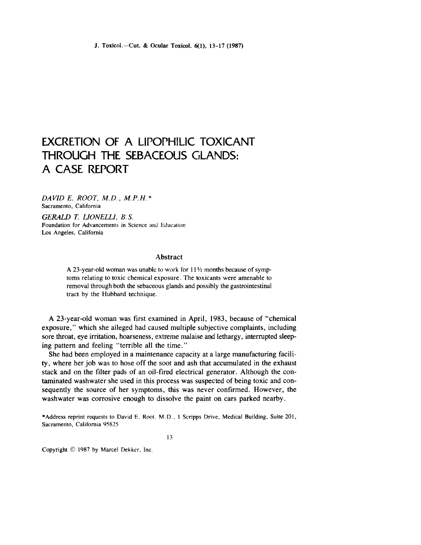# **EXCRETION OF A LIPOPHILIC TOXICANT THROUGH THE SEBACEOUS GLANDS: A CASE REPORT**

*DA VID E. ROOT,* M. *D..* M. *P.* H. \* Sacramento, California

GERALD T. LIONELLI. B.S. Foundation for Advancements in Science and Education Los Angeles, California

## Abstract

A 23-year-old woman was unable to work for  $11\frac{1}{2}$  months because of symptoms relating to toxic chemical exposure. The toxicants were amenable to removal through both the sebaceous glands and possibly the gastrointestinal tract by the Hubbard technique.

A 23-year-old woman was first examined in April, 1983, because of "chemical exposure," which she alleged had caused multiple subjective complaints, including sore throat, eye irritation, hoarseness, extreme malaise and lethargy, interrupted sleeping pattern and feeling "terrible all the time."

She had been employed in a maintenance capacity at a large manufacturing facility, where her job was to hose off the soot and ash that accumulated in the exhaust stack and on the filter pads of an oil-fired electrical generator. Although the contaminated washwater she used in this process was suspected of being toxic and consequently the source of her symptoms, this was never confirmed. However, the washwater was corrosive enough to dissolve the paint on cars parked nearby.

\*Address reprint requests to David E. Root, M.D., I Scripps Drive, Medical Building, Suite 201, Sacramento, California 95825

13

Copyright © 1987 by Marcel Dekker, Inc.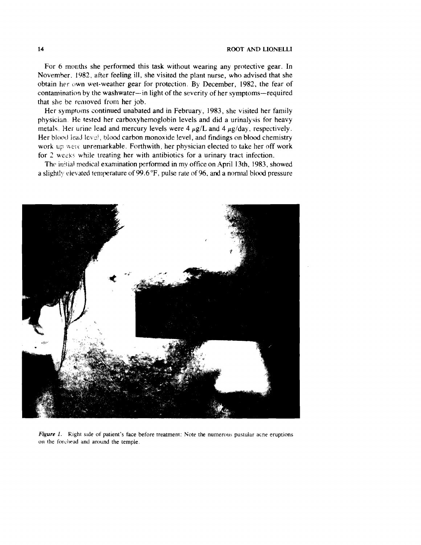For 6 months she performed this task without wearing any protective gear. In Novemher. 1982, after feeling ill, she visited the plant nurse, who advised that she obtain her own wet-weather gear for protection. By December, 1982, the fear of contamination by the washwater-in light of the severity of her symptoms-required that she be removed from her job.

Her symptoms continued unabated and in February, 1983, she visited her family physician. He tested her carboxyhemoglobin levels and did a urinalysis for heavy metals. Her urine lead and mercury levels were 4  $\mu$ g/L and 4  $\mu$ g/day, respectively. Her blood iead level, blood carbon monoxide level, and findings on blood chemistry work up were unremarkable. Forthwith, her physician elected to take her off work for 2 weeks while treating her with antibiotics for a urinary tract infection.

The initial medical examination performed in my office on April 13th, 1983, showed a slightly elevated temperature of  $99.6$  °F, pulse rate of 96, and a normal blood pressure



*Figure 1.* Right side of patient's face before treatment: Note the numerous pustular acne eruptions on the forchead and around the temple.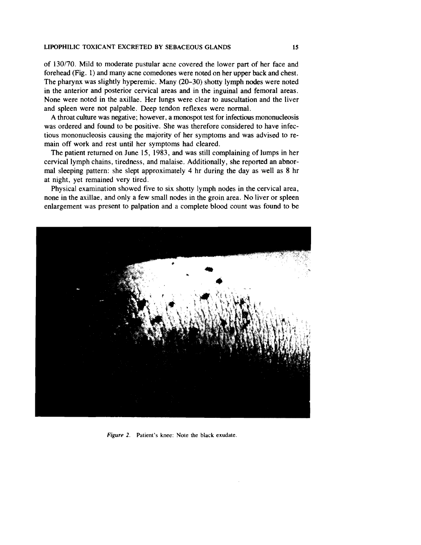#### LIPOPHILIC TOXICANT EXCRETED BY SEBACEOUS GLANDS 15

of 130/70. Mild to moderate pustular acne covered the lower part of her face and forehead (Fig. 1) and many acne comedones were noted on her upper back and chest. The pharynx was slightly hyperemic. Many (20-30) shotty lymph nodes were noted in the anterior and posterior cervical areas and in the inguinal and femoral areas. None were noted in the axillae. Her lungs were clear to auscultation and the liver and spleen were not palpable. Deep tendon reflexes were normal.

A throat culture was negative; however, a monospot test for infectious mononucleosis was ordered and found to be positive. She was therefore considered to have infectious mononucleosis causing the majority of her symptoms and was advised to remain off work and rest until her symptoms had cleared.

The patient returned on June 15, 1983, and was still complaining of lumps in her cervical lymph chains, tiredness, and malaise. Additionally, she reported an abnormal sleeping pattern: she slept approximately 4 hr during the day as well as 8 hr at night, yet remained very tired.

Physical examination showed five to six shotty lymph nodes in the cervical area, none in the axillae, and only a few small nodes in the groin area. No liver or spleen enlargement was present to palpation and a complete blood count was found to be



Figure 2. Patient's knee: Note the black exudate.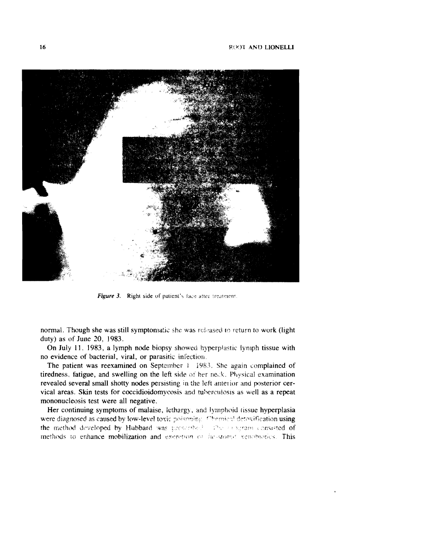

Figure 3. Right side of patient's face atter treatment.

normal. Though she was still symptomatic she was released to return to work (light duty) as of June 20, 1983.

On July II. 1983, a lymph node biopsy showed hyperplastic lymph tissue with no evidence of bacterial, viral, or parasitic infection.

The patient was reexamined on September 1 1983. She again complained of tiredness, fatigue, and swelling on the left side of her neck. Physical examination revealed several small shotty nodes persisting in the left anterior and posterior cervical areas. Skin tests for coccidioidomycosis and tuberculosis as well as a repeat mononucleosis test were all negative.

Her continuing symptoms of malaise, lethargy, and lymphoid tissue hyperplasia were diagnosed as caused by low-level toxic poisoning. Chemical detoxification using the method developed by Hubbard was presented. The innertant consisted of methods to enhance mobilization and excretion of fat-stored venobiotics. This